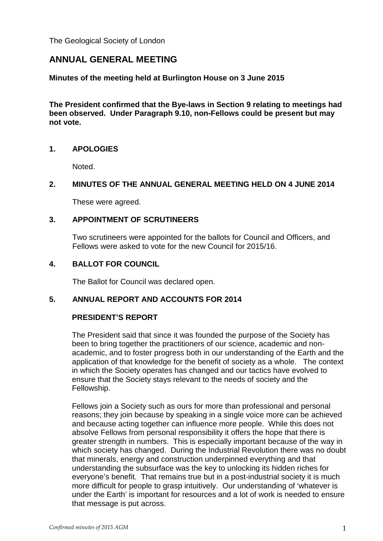The Geological Society of London

# **ANNUAL GENERAL MEETING**

**Minutes of the meeting held at Burlington House on 3 June 2015**

**The President confirmed that the Bye-laws in Section 9 relating to meetings had been observed. Under Paragraph 9.10, non-Fellows could be present but may not vote.** 

#### **1. APOLOGIES**

Noted.

### **2. MINUTES OF THE ANNUAL GENERAL MEETING HELD ON 4 JUNE 2014**

These were agreed.

### **3. APPOINTMENT OF SCRUTINEERS**

Two scrutineers were appointed for the ballots for Council and Officers, and Fellows were asked to vote for the new Council for 2015/16.

#### **4. BALLOT FOR COUNCIL**

The Ballot for Council was declared open.

# **5. ANNUAL REPORT AND ACCOUNTS FOR 2014**

#### **PRESIDENT'S REPORT**

The President said that since it was founded the purpose of the Society has been to bring together the practitioners of our science, academic and nonacademic, and to foster progress both in our understanding of the Earth and the application of that knowledge for the benefit of society as a whole. The context in which the Society operates has changed and our tactics have evolved to ensure that the Society stays relevant to the needs of society and the Fellowship.

Fellows join a Society such as ours for more than professional and personal reasons; they join because by speaking in a single voice more can be achieved and because acting together can influence more people. While this does not absolve Fellows from personal responsibility it offers the hope that there is greater strength in numbers. This is especially important because of the way in which society has changed. During the Industrial Revolution there was no doubt that minerals, energy and construction underpinned everything and that understanding the subsurface was the key to unlocking its hidden riches for everyone's benefit. That remains true but in a post-industrial society it is much more difficult for people to grasp intuitively. Our understanding of 'whatever is under the Earth' is important for resources and a lot of work is needed to ensure that message is put across.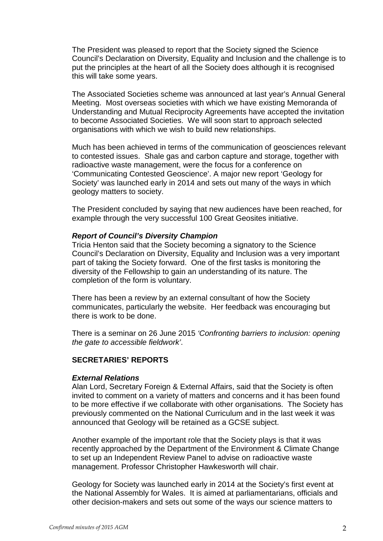The President was pleased to report that the Society signed the Science Council's Declaration on Diversity, Equality and Inclusion and the challenge is to put the principles at the heart of all the Society does although it is recognised this will take some years.

The Associated Societies scheme was announced at last year's Annual General Meeting. Most overseas societies with which we have existing Memoranda of Understanding and Mutual Reciprocity Agreements have accepted the invitation to become Associated Societies. We will soon start to approach selected organisations with which we wish to build new relationships.

Much has been achieved in terms of the communication of geosciences relevant to contested issues. Shale gas and carbon capture and storage, together with radioactive waste management, were the focus for a conference on 'Communicating Contested Geoscience'. A major new report 'Geology for Society' was launched early in 2014 and sets out many of the ways in which geology matters to society.

The President concluded by saying that new audiences have been reached, for example through the very successful 100 Great Geosites initiative.

#### *Report of Council's Diversity Champion*

Tricia Henton said that the Society becoming a signatory to the Science Council's Declaration on Diversity, Equality and Inclusion was a very important part of taking the Society forward. One of the first tasks is monitoring the diversity of the Fellowship to gain an understanding of its nature. The completion of the form is voluntary.

There has been a review by an external consultant of how the Society communicates, particularly the website. Her feedback was encouraging but there is work to be done.

There is a seminar on 26 June 2015 *'Confronting barriers to inclusion: opening the gate to accessible fieldwork'*.

#### **SECRETARIES' REPORTS**

#### *External Relations*

Alan Lord, Secretary Foreign & External Affairs, said that the Society is often invited to comment on a variety of matters and concerns and it has been found to be more effective if we collaborate with other organisations. The Society has previously commented on the National Curriculum and in the last week it was announced that Geology will be retained as a GCSE subject.

Another example of the important role that the Society plays is that it was recently approached by the Department of the Environment & Climate Change to set up an Independent Review Panel to advise on radioactive waste management. Professor Christopher Hawkesworth will chair.

Geology for Society was launched early in 2014 at the Society's first event at the National Assembly for Wales. It is aimed at parliamentarians, officials and other decision-makers and sets out some of the ways our science matters to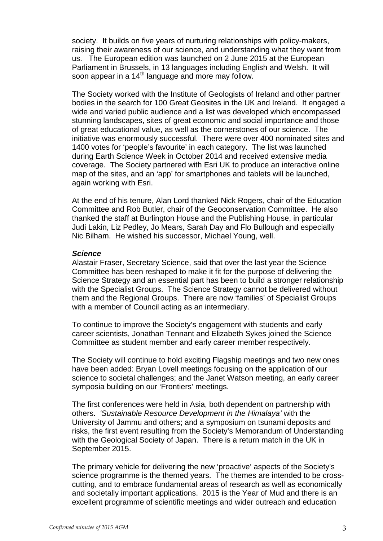society. It builds on five years of nurturing relationships with policy-makers, raising their awareness of our science, and understanding what they want from us. The European edition was launched on 2 June 2015 at the European Parliament in Brussels, in 13 languages including English and Welsh. It will soon appear in a  $14<sup>th</sup>$  language and more may follow.

The Society worked with the Institute of Geologists of Ireland and other partner bodies in the search for 100 Great Geosites in the UK and Ireland. It engaged a wide and varied public audience and a list was developed which encompassed stunning landscapes, sites of great economic and social importance and those of great educational value, as well as the cornerstones of our science. The initiative was enormously successful. There were over 400 nominated sites and 1400 votes for 'people's favourite' in each category. The list was launched during Earth Science Week in October 2014 and received extensive media coverage. The Society partnered with Esri UK to produce an interactive online map of the sites, and an 'app' for smartphones and tablets will be launched, again working with Esri.

At the end of his tenure, Alan Lord thanked Nick Rogers, chair of the Education Committee and Rob Butler, chair of the Geoconservation Committee. He also thanked the staff at Burlington House and the Publishing House, in particular Judi Lakin, Liz Pedley, Jo Mears, Sarah Day and Flo Bullough and especially Nic Bilham. He wished his successor, Michael Young, well.

#### *Science*

Alastair Fraser, Secretary Science, said that over the last year the Science Committee has been reshaped to make it fit for the purpose of delivering the Science Strategy and an essential part has been to build a stronger relationship with the Specialist Groups. The Science Strategy cannot be delivered without them and the Regional Groups. There are now 'families' of Specialist Groups with a member of Council acting as an intermediary.

To continue to improve the Society's engagement with students and early career scientists, Jonathan Tennant and Elizabeth Sykes joined the Science Committee as student member and early career member respectively.

The Society will continue to hold exciting Flagship meetings and two new ones have been added: Bryan Lovell meetings focusing on the application of our science to societal challenges; and the Janet Watson meeting, an early career symposia building on our 'Frontiers' meetings.

The first conferences were held in Asia, both dependent on partnership with others. *'Sustainable Resource Development in the Himalaya'* with the University of Jammu and others; and a symposium on tsunami deposits and risks, the first event resulting from the Society's Memorandum of Understanding with the Geological Society of Japan. There is a return match in the UK in September 2015.

The primary vehicle for delivering the new 'proactive' aspects of the Society's science programme is the themed years. The themes are intended to be crosscutting, and to embrace fundamental areas of research as well as economically and societally important applications. 2015 is the Year of Mud and there is an excellent programme of scientific meetings and wider outreach and education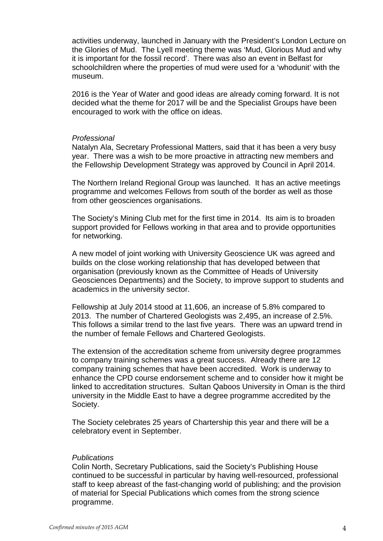activities underway, launched in January with the President's London Lecture on the Glories of Mud. The Lyell meeting theme was 'Mud, Glorious Mud and why it is important for the fossil record'. There was also an event in Belfast for schoolchildren where the properties of mud were used for a 'whodunit' with the museum.

2016 is the Year of Water and good ideas are already coming forward. It is not decided what the theme for 2017 will be and the Specialist Groups have been encouraged to work with the office on ideas.

#### *Professional*

Natalyn Ala, Secretary Professional Matters, said that it has been a very busy year. There was a wish to be more proactive in attracting new members and the Fellowship Development Strategy was approved by Council in April 2014.

The Northern Ireland Regional Group was launched. It has an active meetings programme and welcomes Fellows from south of the border as well as those from other geosciences organisations.

The Society's Mining Club met for the first time in 2014. Its aim is to broaden support provided for Fellows working in that area and to provide opportunities for networking.

A new model of joint working with University Geoscience UK was agreed and builds on the close working relationship that has developed between that organisation (previously known as the Committee of Heads of University Geosciences Departments) and the Society, to improve support to students and academics in the university sector.

Fellowship at July 2014 stood at 11,606, an increase of 5.8% compared to 2013. The number of Chartered Geologists was 2,495, an increase of 2.5%. This follows a similar trend to the last five years. There was an upward trend in the number of female Fellows and Chartered Geologists.

The extension of the accreditation scheme from university degree programmes to company training schemes was a great success. Already there are 12 company training schemes that have been accredited. Work is underway to enhance the CPD course endorsement scheme and to consider how it might be linked to accreditation structures. Sultan Qaboos University in Oman is the third university in the Middle East to have a degree programme accredited by the Society.

The Society celebrates 25 years of Chartership this year and there will be a celebratory event in September.

#### *Publications*

Colin North, Secretary Publications, said the Society's Publishing House continued to be successful in particular by having well-resourced, professional staff to keep abreast of the fast-changing world of publishing; and the provision of material for Special Publications which comes from the strong science programme.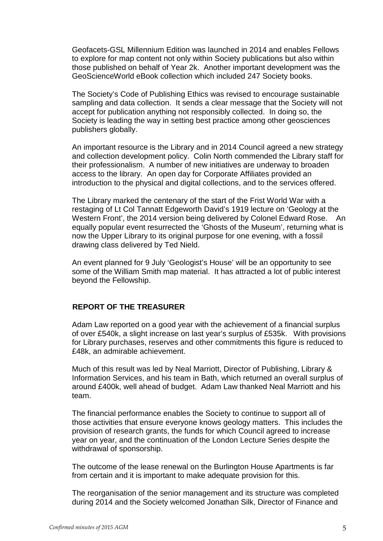Geofacets-GSL Millennium Edition was launched in 2014 and enables Fellows to explore for map content not only within Society publications but also within those published on behalf of Year 2k. Another important development was the GeoScienceWorld eBook collection which included 247 Society books.

The Society's Code of Publishing Ethics was revised to encourage sustainable sampling and data collection. It sends a clear message that the Society will not accept for publication anything not responsibly collected. In doing so, the Society is leading the way in setting best practice among other geosciences publishers globally.

An important resource is the Library and in 2014 Council agreed a new strategy and collection development policy. Colin North commended the Library staff for their professionalism. A number of new initiatives are underway to broaden access to the library. An open day for Corporate Affiliates provided an introduction to the physical and digital collections, and to the services offered.

The Library marked the centenary of the start of the Frist World War with a restaging of Lt Col Tannatt Edgeworth David's 1919 lecture on 'Geology at the Western Front', the 2014 version being delivered by Colonel Edward Rose. An equally popular event resurrected the 'Ghosts of the Museum', returning what is now the Upper Library to its original purpose for one evening, with a fossil drawing class delivered by Ted Nield.

An event planned for 9 July 'Geologist's House' will be an opportunity to see some of the William Smith map material. It has attracted a lot of public interest beyond the Fellowship.

### **REPORT OF THE TREASURER**

Adam Law reported on a good year with the achievement of a financial surplus of over £540k, a slight increase on last year's surplus of £535k. With provisions for Library purchases, reserves and other commitments this figure is reduced to £48k, an admirable achievement.

Much of this result was led by Neal Marriott, Director of Publishing, Library & Information Services, and his team in Bath, which returned an overall surplus of around £400k, well ahead of budget. Adam Law thanked Neal Marriott and his team.

The financial performance enables the Society to continue to support all of those activities that ensure everyone knows geology matters. This includes the provision of research grants, the funds for which Council agreed to increase year on year, and the continuation of the London Lecture Series despite the withdrawal of sponsorship.

The outcome of the lease renewal on the Burlington House Apartments is far from certain and it is important to make adequate provision for this.

The reorganisation of the senior management and its structure was completed during 2014 and the Society welcomed Jonathan Silk, Director of Finance and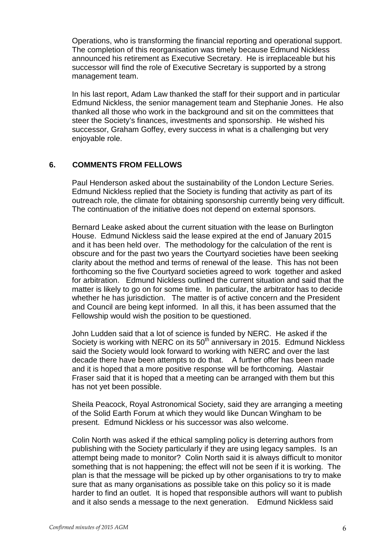Operations, who is transforming the financial reporting and operational support. The completion of this reorganisation was timely because Edmund Nickless announced his retirement as Executive Secretary. He is irreplaceable but his successor will find the role of Executive Secretary is supported by a strong management team.

In his last report, Adam Law thanked the staff for their support and in particular Edmund Nickless, the senior management team and Stephanie Jones. He also thanked all those who work in the background and sit on the committees that steer the Society's finances, investments and sponsorship. He wished his successor, Graham Goffey, every success in what is a challenging but very enjoyable role.

#### **6. COMMENTS FROM FELLOWS**

Paul Henderson asked about the sustainability of the London Lecture Series. Edmund Nickless replied that the Society is funding that activity as part of its outreach role, the climate for obtaining sponsorship currently being very difficult. The continuation of the initiative does not depend on external sponsors.

Bernard Leake asked about the current situation with the lease on Burlington House. Edmund Nickless said the lease expired at the end of January 2015 and it has been held over. The methodology for the calculation of the rent is obscure and for the past two years the Courtyard societies have been seeking clarity about the method and terms of renewal of the lease. This has not been forthcoming so the five Courtyard societies agreed to work together and asked for arbitration. Edmund Nickless outlined the current situation and said that the matter is likely to go on for some time. In particular, the arbitrator has to decide whether he has jurisdiction. The matter is of active concern and the President and Council are being kept informed. In all this, it has been assumed that the Fellowship would wish the position to be questioned.

John Ludden said that a lot of science is funded by NERC. He asked if the Society is working with NERC on its 50<sup>th</sup> anniversary in 2015. Edmund Nickless said the Society would look forward to working with NERC and over the last decade there have been attempts to do that. A further offer has been made and it is hoped that a more positive response will be forthcoming. Alastair Fraser said that it is hoped that a meeting can be arranged with them but this has not yet been possible.

Sheila Peacock, Royal Astronomical Society, said they are arranging a meeting of the Solid Earth Forum at which they would like Duncan Wingham to be present. Edmund Nickless or his successor was also welcome.

Colin North was asked if the ethical sampling policy is deterring authors from publishing with the Society particularly if they are using legacy samples. Is an attempt being made to monitor? Colin North said it is always difficult to monitor something that is not happening; the effect will not be seen if it is working. The plan is that the message will be picked up by other organisations to try to make sure that as many organisations as possible take on this policy so it is made harder to find an outlet. It is hoped that responsible authors will want to publish and it also sends a message to the next generation. Edmund Nickless said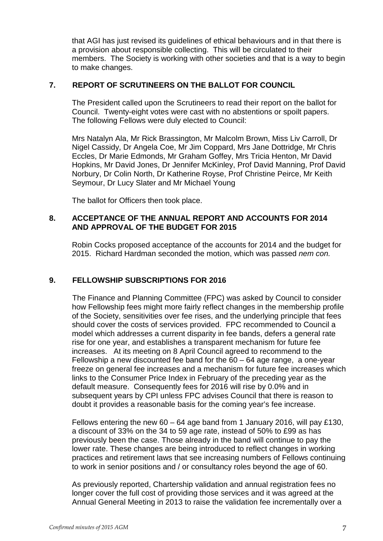that AGI has just revised its guidelines of ethical behaviours and in that there is a provision about responsible collecting. This will be circulated to their members. The Society is working with other societies and that is a way to begin to make changes.

### **7. REPORT OF SCRUTINEERS ON THE BALLOT FOR COUNCIL**

The President called upon the Scrutineers to read their report on the ballot for Council. Twenty-eight votes were cast with no abstentions or spoilt papers. The following Fellows were duly elected to Council:

Mrs Natalyn Ala, Mr Rick Brassington, Mr Malcolm Brown, Miss Liv Carroll, Dr Nigel Cassidy, Dr Angela Coe, Mr Jim Coppard, Mrs Jane Dottridge, Mr Chris Eccles, Dr Marie Edmonds, Mr Graham Goffey, Mrs Tricia Henton, Mr David Hopkins, Mr David Jones, Dr Jennifer McKinley, Prof David Manning, Prof David Norbury, Dr Colin North, Dr Katherine Royse, Prof Christine Peirce, Mr Keith Seymour, Dr Lucy Slater and Mr Michael Young

The ballot for Officers then took place.

### **8. ACCEPTANCE OF THE ANNUAL REPORT AND ACCOUNTS FOR 2014 AND APPROVAL OF THE BUDGET FOR 2015**

Robin Cocks proposed acceptance of the accounts for 2014 and the budget for 2015. Richard Hardman seconded the motion, which was passed *nem con.*

# **9. FELLOWSHIP SUBSCRIPTIONS FOR 2016**

The Finance and Planning Committee (FPC) was asked by Council to consider how Fellowship fees might more fairly reflect changes in the membership profile of the Society, sensitivities over fee rises, and the underlying principle that fees should cover the costs of services provided. FPC recommended to Council a model which addresses a current disparity in fee bands, defers a general rate rise for one year, and establishes a transparent mechanism for future fee increases. At its meeting on 8 April Council agreed to recommend to the Fellowship a new discounted fee band for the 60 – 64 age range, a one-year freeze on general fee increases and a mechanism for future fee increases which links to the Consumer Price Index in February of the preceding year as the default measure. Consequently fees for 2016 will rise by 0.0% and in subsequent years by CPI unless FPC advises Council that there is reason to doubt it provides a reasonable basis for the coming year's fee increase.

Fellows entering the new 60 – 64 age band from 1 January 2016, will pay £130, a discount of 33% on the 34 to 59 age rate, instead of 50% to £99 as has previously been the case. Those already in the band will continue to pay the lower rate. These changes are being introduced to reflect changes in working practices and retirement laws that see increasing numbers of Fellows continuing to work in senior positions and / or consultancy roles beyond the age of 60.

As previously reported, Chartership validation and annual registration fees no longer cover the full cost of providing those services and it was agreed at the Annual General Meeting in 2013 to raise the validation fee incrementally over a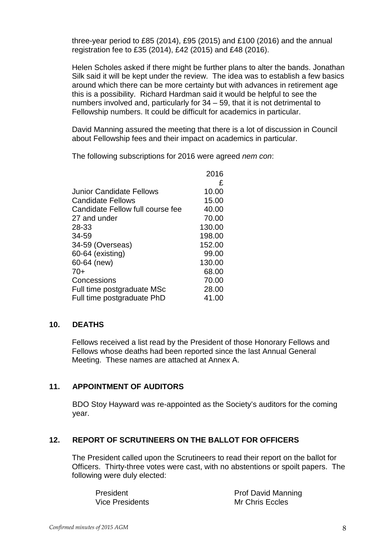three-year period to £85 (2014), £95 (2015) and £100 (2016) and the annual registration fee to £35 (2014), £42 (2015) and £48 (2016).

Helen Scholes asked if there might be further plans to alter the bands. Jonathan Silk said it will be kept under the review. The idea was to establish a few basics around which there can be more certainty but with advances in retirement age this is a possibility. Richard Hardman said it would be helpful to see the numbers involved and, particularly for 34 – 59, that it is not detrimental to Fellowship numbers. It could be difficult for academics in particular.

David Manning assured the meeting that there is a lot of discussion in Council about Fellowship fees and their impact on academics in particular.

The following subscriptions for 2016 were agreed *nem con*:

|                                  | 2016   |
|----------------------------------|--------|
|                                  | £      |
| Junior Candidate Fellows         | 10.00  |
| Candidate Fellows                | 15.00  |
| Candidate Fellow full course fee | 40.00  |
| 27 and under                     | 70.00  |
| 28-33                            | 130.00 |
| 34-59                            | 198.00 |
| 34-59 (Overseas)                 | 152.00 |
| 60-64 (existing)                 | 99.00  |
| 60-64 (new)                      | 130.00 |
| $70+$                            | 68.00  |
| Concessions                      | 70.00  |
| Full time postgraduate MSc       | 28.00  |
| Full time postgraduate PhD       | 41.00  |

#### **10. DEATHS**

Fellows received a list read by the President of those Honorary Fellows and Fellows whose deaths had been reported since the last Annual General Meeting. These names are attached at Annex A.

# **11. APPOINTMENT OF AUDITORS**

BDO Stoy Hayward was re-appointed as the Society's auditors for the coming year.

# **12. REPORT OF SCRUTINEERS ON THE BALLOT FOR OFFICERS**

The President called upon the Scrutineers to read their report on the ballot for Officers. Thirty-three votes were cast, with no abstentions or spoilt papers. The following were duly elected:

| President       | <b>Prof David Manning</b> |
|-----------------|---------------------------|
| Vice Presidents | <b>Mr Chris Eccles</b>    |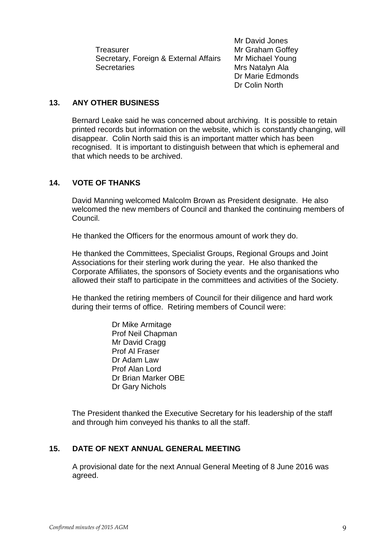Treasurer Mr Graham Goffey Secretary, Foreign & External Affairs Mr Michael Young Secretaries **Mrs** Natalyn Ala

Mr David Jones Dr Marie Edmonds Dr Colin North

## **13. ANY OTHER BUSINESS**

Bernard Leake said he was concerned about archiving. It is possible to retain printed records but information on the website, which is constantly changing, will disappear. Colin North said this is an important matter which has been recognised. It is important to distinguish between that which is ephemeral and that which needs to be archived.

# **14. VOTE OF THANKS**

David Manning welcomed Malcolm Brown as President designate. He also welcomed the new members of Council and thanked the continuing members of Council.

He thanked the Officers for the enormous amount of work they do.

He thanked the Committees, Specialist Groups, Regional Groups and Joint Associations for their sterling work during the year. He also thanked the Corporate Affiliates, the sponsors of Society events and the organisations who allowed their staff to participate in the committees and activities of the Society.

He thanked the retiring members of Council for their diligence and hard work during their terms of office. Retiring members of Council were:

> Dr Mike Armitage Prof Neil Chapman Mr David Cragg Prof Al Fraser Dr Adam Law Prof Alan Lord Dr Brian Marker OBE Dr Gary Nichols

The President thanked the Executive Secretary for his leadership of the staff and through him conveyed his thanks to all the staff.

### **15. DATE OF NEXT ANNUAL GENERAL MEETING**

A provisional date for the next Annual General Meeting of 8 June 2016 was agreed.